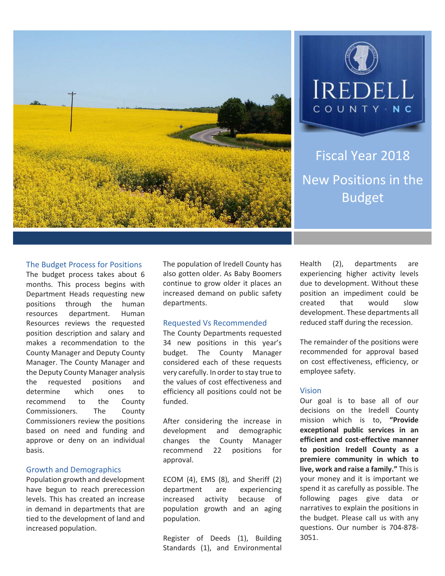



Fiscal Year 2018 New Positions in the Budget

#### The Budget Process for Positions

The budget process takes about 6 months. This process begins with Department Heads requesting new positions through the human resources department. Human Resources reviews the requested position description and salary and makes a recommendation to the County Manager and Deputy County Manager. The County Manager and the Deputy County Manager analysis the requested positions and determine which ones to recommend to the County Commissioners. The County Commissioners review the positions based on need and funding and approve or deny on an individual basis.

#### Growth and Demographics

Population growth and development have begun to reach prerecession levels. This has created an increase in demand in departments that are tied to the development of land and increased population.

The population of Iredell County has also gotten older. As Baby Boomers continue to grow older it places an increased demand on public safety departments.

#### Requested Vs Recommended

The County Departments requested 34 new positions in this year's budget. The County Manager considered each of these requests very carefully. In order to stay true to the values of cost effectiveness and efficiency all positions could not be funded.

After considering the increase in development and demographic changes the County Manager recommend 22 positions for approval.

ECOM (4), EMS (8), and Sheriff (2) department are experiencing increased activity because of population growth and an aging population.

Register of Deeds (1), Building Standards (1), and Environmental

Health (2), departments are experiencing higher activity levels due to development. Without these position an impediment could be created that would slow development. These departments all reduced staff during the recession.

The remainder of the positions were recommended for approval based on cost effectiveness, efficiency, or employee safety.

#### Vision

Our goal is to base all of our decisions on the Iredell County mission which is to, **"Provide exceptional public services in an efficient and cost-effective manner to position Iredell County as a premiere community in which to live, work and raise a family."** This is your money and it is important we spend it as carefully as possible. The following pages give data or narratives to explain the positions in the budget. Please call us with any questions. Our number is 704-878- 3051.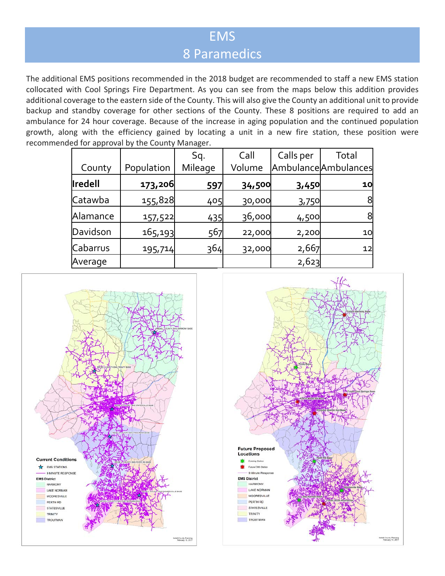## EMS 8 Paramedics

The additional EMS positions recommended in the 2018 budget are recommended to staff a new EMS station collocated with Cool Springs Fire Department. As you can see from the maps below this addition provides additional coverage to the eastern side of the County. This will also give the County an additional unit to provide backup and standby coverage for other sections of the County. These 8 positions are required to add an ambulance for 24 hour coverage. Because of the increase in aging population and the continued population growth, along with the efficiency gained by locating a unit in a new fire station, these position were recommended for approval by the County Manager.

|                |            | Sq.     | Call   | Calls per | Total                |
|----------------|------------|---------|--------|-----------|----------------------|
| County         | Population | Mileage | Volume |           | Ambulance Ambulances |
| <b>Iredell</b> | 173,206    | 597     | 34,500 | 3,450     | 10                   |
| Catawba        | 155,828    | 405     | 30,000 | 3,750     | 8                    |
| Alamance       | 157,522    | 435     | 36,000 | 4,500     | 8                    |
| Davidson       | 165,193    | 567     | 22,000 | 2,200     | 10                   |
| Cabarrus       | 195,714    | 364     | 32,000 | 2,667     | 12                   |
| Average        |            |         |        | 2,623     |                      |



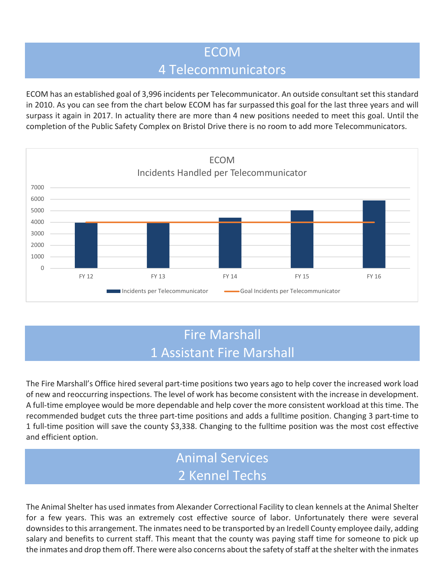### ECOM 4 Telecommunicators

ECOM has an established goal of 3,996 incidents per Telecommunicator. An outside consultant set this standard in 2010. As you can see from the chart below ECOM has far surpassed this goal for the last three years and will surpass it again in 2017. In actuality there are more than 4 new positions needed to meet this goal. Until the completion of the Public Safety Complex on Bristol Drive there is no room to add more Telecommunicators.



# Fire Marshall 1 Assistant Fire Marshall

The Fire Marshall's Office hired several part-time positions two years ago to help cover the increased work load of new and reoccurring inspections. The level of work has become consistent with the increase in development. A full-time employee would be more dependable and help cover the more consistent workload at this time. The recommended budget cuts the three part-time positions and adds a fulltime position. Changing 3 part-time to 1 full-time position will save the county \$3,338. Changing to the fulltime position was the most cost effective and efficient option.

## Animal Services 2 Kennel Techs

The Animal Shelter has used inmates from Alexander Correctional Facility to clean kennels at the Animal Shelter for a few years. This was an extremely cost effective source of labor. Unfortunately there were several downsides to this arrangement. The inmates need to be transported by an Iredell County employee daily, adding salary and benefits to current staff. This meant that the county was paying staff time for someone to pick up the inmates and drop them off. There were also concerns about the safety of staff at the shelter with the inmates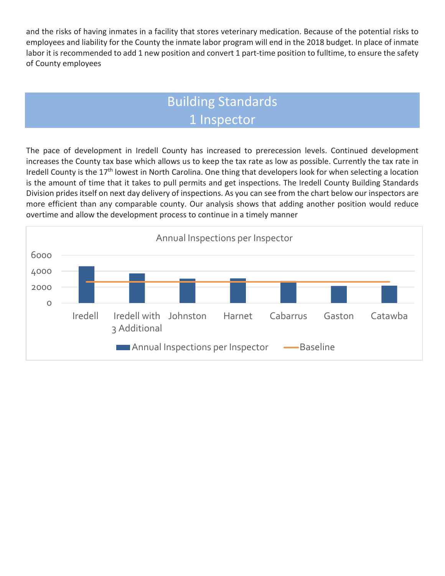and the risks of having inmates in a facility that stores veterinary medication. Because of the potential risks to employees and liability for the County the inmate labor program will end in the 2018 budget. In place of inmate labor it is recommended to add 1 new position and convert 1 part-time position to fulltime, to ensure the safety of County employees

# Building Standards 1 Inspector

The pace of development in Iredell County has increased to prerecession levels. Continued development increases the County tax base which allows us to keep the tax rate as low as possible. Currently the tax rate in Iredell County is the 17<sup>th</sup> lowest in North Carolina. One thing that developers look for when selecting a location is the amount of time that it takes to pull permits and get inspections. The Iredell County Building Standards Division prides itself on next day delivery of inspections. As you can see from the chart below our inspectors are more efficient than any comparable county. Our analysis shows that adding another position would reduce overtime and allow the development process to continue in a timely manner

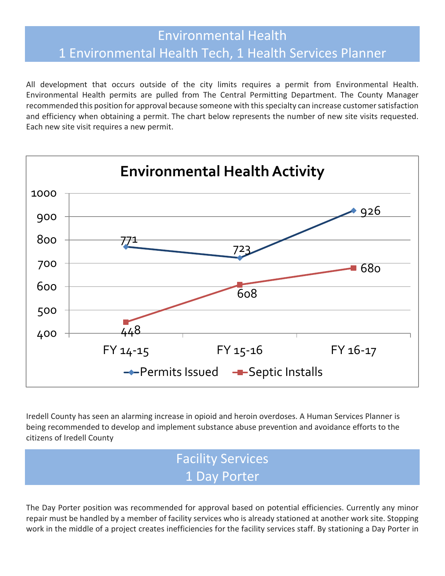### Environmental Health 1 Environmental Health Tech, 1 Health Services Planner

All development that occurs outside of the city limits requires a permit from Environmental Health. Environmental Health permits are pulled from The Central Permitting Department. The County Manager recommended this position for approval because someone with this specialty can increase customer satisfaction and efficiency when obtaining a permit. The chart below represents the number of new site visits requested. Each new site visit requires a new permit.



Iredell County has seen an alarming increase in opioid and heroin overdoses. A Human Services Planner is being recommended to develop and implement substance abuse prevention and avoidance efforts to the citizens of Iredell County

# Facility Services 1 Day Porter

The Day Porter position was recommended for approval based on potential efficiencies. Currently any minor repair must be handled by a member of facility services who is already stationed at another work site. Stopping work in the middle of a project creates inefficiencies for the facility services staff. By stationing a Day Porter in